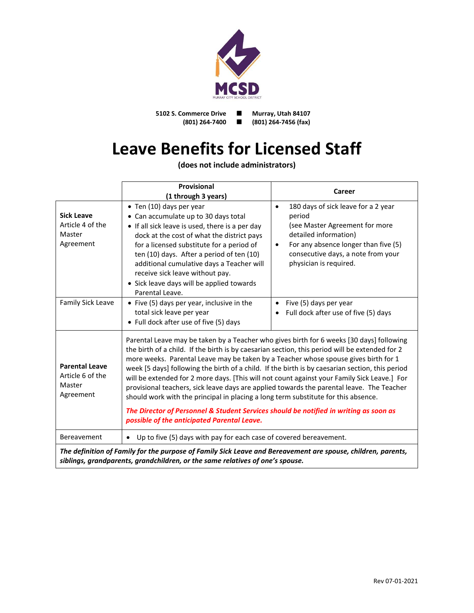

**5102 S. Commerce Drive Murray, Utah 84107**<br>(801) 264-7400 **1** (801) 264-7456 (fax) **(801) 264-7400 (801) 264-7456 (fax)**

## **Leave Benefits for Licensed Staff**

**(does not include administrators)**

|                                                                                                                                                                                               | <b>Provisional</b>                                                                                                                                                                                                                                                                                                                                                                                                                                                                                                                                                                                                                                                                                                                                                                                             | <b>Career</b>                                                                                                                                                                                                                              |
|-----------------------------------------------------------------------------------------------------------------------------------------------------------------------------------------------|----------------------------------------------------------------------------------------------------------------------------------------------------------------------------------------------------------------------------------------------------------------------------------------------------------------------------------------------------------------------------------------------------------------------------------------------------------------------------------------------------------------------------------------------------------------------------------------------------------------------------------------------------------------------------------------------------------------------------------------------------------------------------------------------------------------|--------------------------------------------------------------------------------------------------------------------------------------------------------------------------------------------------------------------------------------------|
| <b>Sick Leave</b><br>Article 4 of the<br>Master<br>Agreement                                                                                                                                  | (1 through 3 years)<br>• Ten (10) days per year<br>• Can accumulate up to 30 days total<br>• If all sick leave is used, there is a per day<br>dock at the cost of what the district pays<br>for a licensed substitute for a period of<br>ten (10) days. After a period of ten (10)<br>additional cumulative days a Teacher will<br>receive sick leave without pay.<br>• Sick leave days will be applied towards<br>Parental Leave.                                                                                                                                                                                                                                                                                                                                                                             | 180 days of sick leave for a 2 year<br>$\bullet$<br>period<br>(see Master Agreement for more<br>detailed information)<br>For any absence longer than five (5)<br>$\bullet$<br>consecutive days, a note from your<br>physician is required. |
| Family Sick Leave                                                                                                                                                                             | • Five (5) days per year, inclusive in the<br>total sick leave per year<br>• Full dock after use of five (5) days                                                                                                                                                                                                                                                                                                                                                                                                                                                                                                                                                                                                                                                                                              | Five (5) days per year<br>$\bullet$<br>Full dock after use of five (5) days<br>$\bullet$                                                                                                                                                   |
| <b>Parental Leave</b><br>Article 6 of the<br>Master<br>Agreement                                                                                                                              | Parental Leave may be taken by a Teacher who gives birth for 6 weeks [30 days] following<br>the birth of a child. If the birth is by caesarian section, this period will be extended for 2<br>more weeks. Parental Leave may be taken by a Teacher whose spouse gives birth for 1<br>week [5 days] following the birth of a child. If the birth is by caesarian section, this period<br>will be extended for 2 more days. [This will not count against your Family Sick Leave.] For<br>provisional teachers, sick leave days are applied towards the parental leave. The Teacher<br>should work with the principal in placing a long term substitute for this absence.<br>The Director of Personnel & Student Services should be notified in writing as soon as<br>possible of the anticipated Parental Leave. |                                                                                                                                                                                                                                            |
| Bereavement                                                                                                                                                                                   | Up to five (5) days with pay for each case of covered bereavement.<br>$\bullet$                                                                                                                                                                                                                                                                                                                                                                                                                                                                                                                                                                                                                                                                                                                                |                                                                                                                                                                                                                                            |
| The definition of Family for the purpose of Family Sick Leave and Bereavement are spouse, children, parents,<br>siblings, grandparents, grandchildren, or the same relatives of one's spouse. |                                                                                                                                                                                                                                                                                                                                                                                                                                                                                                                                                                                                                                                                                                                                                                                                                |                                                                                                                                                                                                                                            |